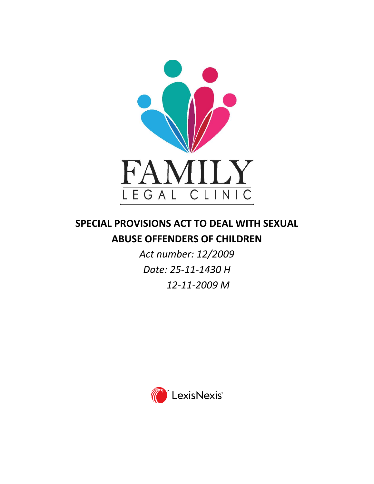

# **SPECIAL PROVISIONS ACT TO DEAL WITH SEXUAL ABUSE OFFENDERS OF CHILDREN**

*Act number: 12/2009 Date: 25-11-1430 H 12-11-2009 M*

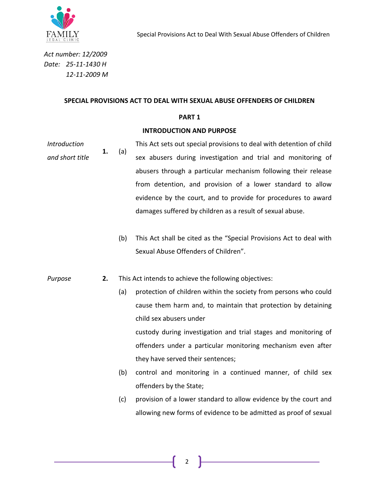

*Act number: 12/2009 Date: 25-11-1430 H 12-11-2009 M*

#### **SPECIAL PROVISIONS ACT TO DEAL WITH SEXUAL ABUSE OFFENDERS OF CHILDREN**

#### **PART 1**

#### **INTRODUCTION AND PURPOSE**

- *Introduction and short title* **1.** (a) This Act sets out special provisions to deal with detention of child sex abusers during investigation and trial and monitoring of abusers through a particular mechanism following their release from detention, and provision of a lower standard to allow evidence by the court, and to provide for procedures to award damages suffered by children as a result of sexual abuse.
	- (b) This Act shall be cited as the "Special Provisions Act to deal with Sexual Abuse Offenders of Children".
- *Purpose* **2.** This Act intends to achieve the following objectives:
	- (a) protection of children within the society from persons who could cause them harm and, to maintain that protection by detaining child sex abusers under custody during investigation and trial stages and monitoring of offenders under a particular monitoring mechanism even after they have served their sentences;
	- (b) control and monitoring in a continued manner, of child sex offenders by the State;
	- (c) provision of a lower standard to allow evidence by the court and allowing new forms of evidence to be admitted as proof of sexual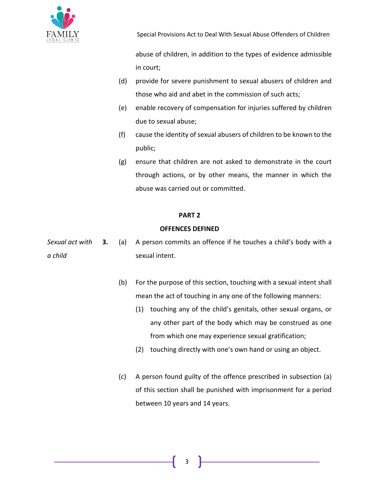

abuse of children, in addition to the types of evidence admissible in court;

- (d) provide for severe punishment to sexual abusers of children and those who aid and abet in the commission of such acts;
- (e) enable recovery of compensation for injuries suffered by children due to sexual abuse;
- (f) cause the identity of sexual abusers of children to be known to the public;
- (g) ensure that children are not asked to demonstrate in the court through actions, or by other means, the manner in which the abuse was carried out or committed.

# **PART 2**

# **OFFENCES DEFINED**

*Sexual act with a child* **3.** (a) A person commits an offence if he touches a child's body with a sexual intent.

- (b) For the purpose of this section, touching with a sexual intent shall mean the act of touching in any one of the following manners:
	- (1) touching any of the child's genitals, other sexual organs, or any other part of the body which may be construed as one from which one may experience sexual gratification;
	- (2) touching directly with one's own hand or using an object.
- (c) A person found guilty of the offence prescribed in subsection (a) of this section shall be punished with imprisonment for a period between 10 years and 14 years.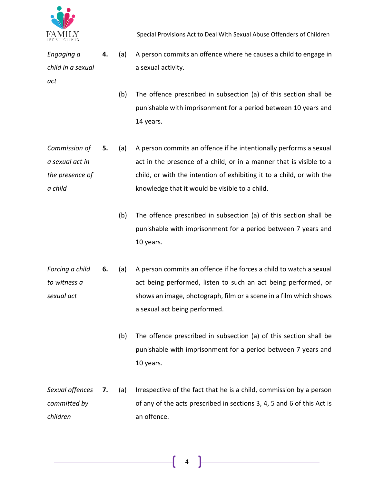

*Engaging a child in a sexual act*

- **4.** (a) A person commits an offence where he causes a child to engage in a sexual activity.
	- (b) The offence prescribed in subsection (a) of this section shall be punishable with imprisonment for a period between 10 years and 14 years.
- *Commission of a sexual act in the presence of a child* **5.** (a) A person commits an offence if he intentionally performs a sexual act in the presence of a child, or in a manner that is visible to a child, or with the intention of exhibiting it to a child, or with the knowledge that it would be visible to a child.
	- (b) The offence prescribed in subsection (a) of this section shall be punishable with imprisonment for a period between 7 years and 10 years.
- *Forcing a child to witness a sexual act* **6.** (a) A person commits an offence if he forces a child to watch a sexual act being performed, listen to such an act being performed, or shows an image, photograph, film or a scene in a film which shows a sexual act being performed.
	- (b) The offence prescribed in subsection (a) of this section shall be punishable with imprisonment for a period between 7 years and 10 years.
- *Sexual offences committed by children* **7.** (a) Irrespective of the fact that he is a child, commission by a person of any of the acts prescribed in sections 3, 4, 5 and 6 of this Act is an offence.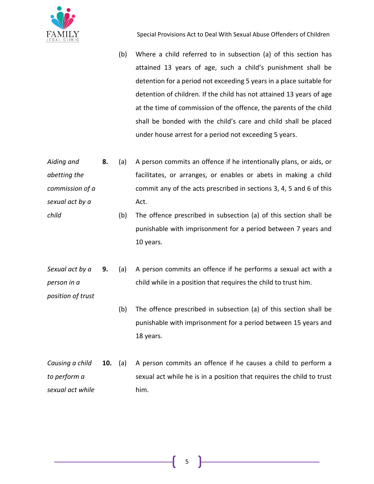

(b) Where a child referred to in subsection (a) of this section has attained 13 years of age, such a child's punishment shall be detention for a period not exceeding 5 years in a place suitable for detention of children. If the child has not attained 13 years of age at the time of commission of the offence, the parents of the child shall be bonded with the child's care and child shall be placed under house arrest for a period not exceeding 5 years.

*Aiding and abetting the commission of a sexual act by a*  **8.** (a) A person commits an offence if he intentionally plans, or aids, or facilitates, or arranges, or enables or abets in making a child commit any of the acts prescribed in sections 3, 4, 5 and 6 of this Act.

(b) The offence prescribed in subsection (a) of this section shall be punishable with imprisonment for a period between 7 years and 10 years.

*Sexual act by a person in a*  **9.** (a) A person commits an offence if he performs a sexual act with a child while in a position that requires the child to trust him.

*position of trust*

*child*

- (b) The offence prescribed in subsection (a) of this section shall be punishable with imprisonment for a period between 15 years and 18 years.
- *Causing a child to perform a sexual act while*  **10.** (a) A person commits an offence if he causes a child to perform a sexual act while he is in a position that requires the child to trust him.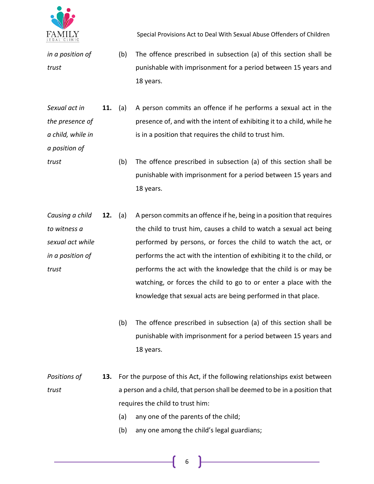

- *in a position of trust* (b) The offence prescribed in subsection (a) of this section shall be punishable with imprisonment for a period between 15 years and 18 years.
- *Sexual act in the presence of a child, while in*  **11.** (a) A person commits an offence if he performs a sexual act in the presence of, and with the intent of exhibiting it to a child, while he is in a position that requires the child to trust him.
- *a position of trust*
	- (b) The offence prescribed in subsection (a) of this section shall be punishable with imprisonment for a period between 15 years and 18 years.
- *Causing a child to witness a sexual act while in a position of trust* **12.** (a) A person commits an offence if he, being in a position that requires the child to trust him, causes a child to watch a sexual act being performed by persons, or forces the child to watch the act, or performs the act with the intention of exhibiting it to the child, or performs the act with the knowledge that the child is or may be watching, or forces the child to go to or enter a place with the knowledge that sexual acts are being performed in that place.
	- (b) The offence prescribed in subsection (a) of this section shall be punishable with imprisonment for a period between 15 years and 18 years.
- *Positions of trust* **13.** For the purpose of this Act, if the following relationships exist between a person and a child, that person shall be deemed to be in a position that requires the child to trust him:
	- (a) any one of the parents of the child;
	- (b) any one among the child's legal guardians;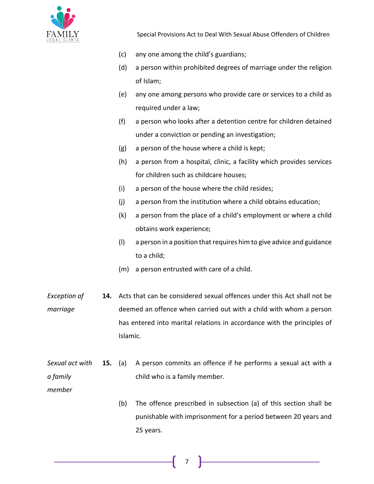

- (c) any one among the child's guardians;
- (d) a person within prohibited degrees of marriage under the religion of Islam;
- (e) any one among persons who provide care or services to a child as required under a law;
- (f) a person who looks after a detention centre for children detained under a conviction or pending an investigation;
- (g) a person of the house where a child is kept;
- (h) a person from a hospital, clinic, a facility which provides services for children such as childcare houses;
- (i) a person of the house where the child resides;
- (j) a person from the institution where a child obtains education;
- (k) a person from the place of a child's employment or where a child obtains work experience;
- (l) a person in a position that requires him to give advice and guidance to a child;
- (m) a person entrusted with care of a child.
- *Exception of marriage* **14.** Acts that can be considered sexual offences under this Act shall not be deemed an offence when carried out with a child with whom a person has entered into marital relations in accordance with the principles of Islamic.
- *Sexual act with a family*  **15.** (a) A person commits an offence if he performs a sexual act with a child who is a family member.

*member*

(b) The offence prescribed in subsection (a) of this section shall be punishable with imprisonment for a period between 20 years and 25 years.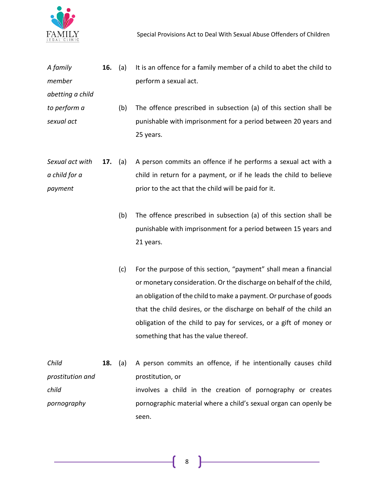

| A family         | 16.            | (a) | It is an offence for a family member of a child to abet the child to |
|------------------|----------------|-----|----------------------------------------------------------------------|
| member           |                |     | perform a sexual act.                                                |
| abetting a child |                |     |                                                                      |
| to perform a     |                | (b) | The offence prescribed in subsection (a) of this section shall be    |
| sexual act       |                |     | punishable with imprisonment for a period between 20 years and       |
|                  |                |     | 25 years.                                                            |
|                  |                |     |                                                                      |
| Sexual act with  | <b>17.</b> (a) |     | A person commits an offence if he performs a sexual act with a       |
| a child for a    |                |     | child in return for a payment, or if he leads the child to believe   |
| payment          |                |     | prior to the act that the child will be paid for it.                 |

- (b) The offence prescribed in subsection (a) of this section shall be punishable with imprisonment for a period between 15 years and 21 years.
- (c) For the purpose of this section, "payment" shall mean a financial or monetary consideration. Or the discharge on behalf of the child, an obligation of the child to make a payment. Or purchase of goods that the child desires, or the discharge on behalf of the child an obligation of the child to pay for services, or a gift of money or something that has the value thereof.

*Child prostitution and child pornography* **18.** (a) A person commits an offence, if he intentionally causes child prostitution, or involves a child in the creation of pornography or creates pornographic material where a child's sexual organ can openly be seen.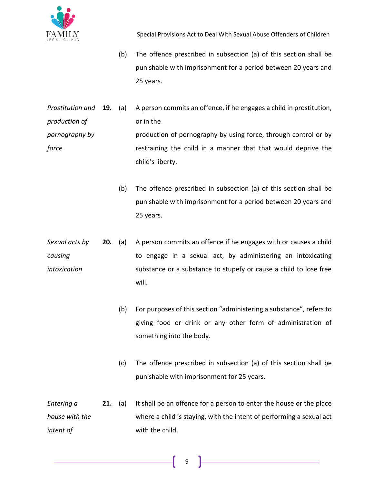

- (b) The offence prescribed in subsection (a) of this section shall be punishable with imprisonment for a period between 20 years and 25 years.
- *Prostitution and production of pornography by force* **19.** (a) A person commits an offence, if he engages a child in prostitution, or in the production of pornography by using force, through control or by restraining the child in a manner that that would deprive the child's liberty.
	- (b) The offence prescribed in subsection (a) of this section shall be punishable with imprisonment for a period between 20 years and 25 years.
- *Sexual acts by causing intoxication* **20.** (a) A person commits an offence if he engages with or causes a child to engage in a sexual act, by administering an intoxicating substance or a substance to stupefy or cause a child to lose free will.
	- (b) For purposes of this section "administering a substance", refers to giving food or drink or any other form of administration of something into the body.
	- (c) The offence prescribed in subsection (a) of this section shall be punishable with imprisonment for 25 years.
- *Entering a house with the intent of*  **21.** (a) It shall be an offence for a person to enter the house or the place where a child is staying, with the intent of performing a sexual act with the child.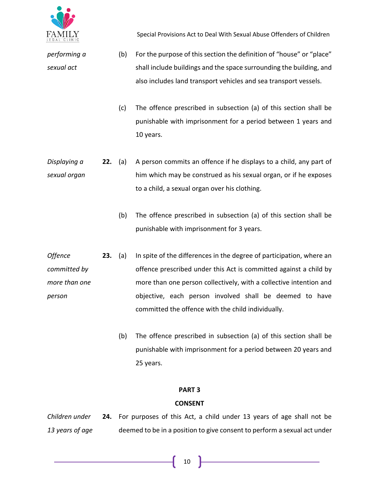

*performing a* 

*sexual act*

Special Provisions Act to Deal With Sexual Abuse Offenders of Children

- (b) For the purpose of this section the definition of "house" or "place" shall include buildings and the space surrounding the building, and also includes land transport vehicles and sea transport vessels.
	- (c) The offence prescribed in subsection (a) of this section shall be punishable with imprisonment for a period between 1 years and 10 years.
- *Displaying a sexual organ* **22.** (a) A person commits an offence if he displays to a child, any part of him which may be construed as his sexual organ, or if he exposes to a child, a sexual organ over his clothing.
	- (b) The offence prescribed in subsection (a) of this section shall be punishable with imprisonment for 3 years.
- *Offence committed by more than one person* **23.** (a) In spite of the differences in the degree of participation, where an offence prescribed under this Act is committed against a child by more than one person collectively, with a collective intention and objective, each person involved shall be deemed to have committed the offence with the child individually.
	- (b) The offence prescribed in subsection (a) of this section shall be punishable with imprisonment for a period between 20 years and 25 years.

# **PART 3**

### **CONSENT**

*Children under 13 years of age* **24.** For purposes of this Act, a child under 13 years of age shall not be deemed to be in a position to give consent to perform a sexual act under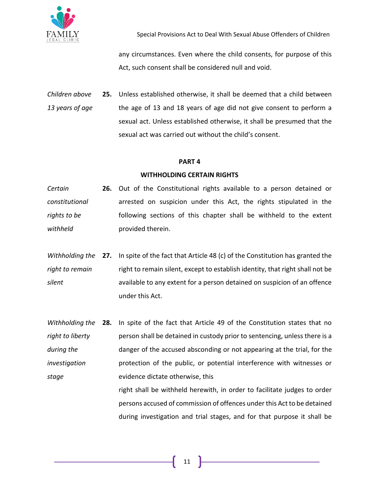

any circumstances. Even where the child consents, for purpose of this Act, such consent shall be considered null and void.

*Children above 13 years of age* **25.** Unless established otherwise, it shall be deemed that a child between the age of 13 and 18 years of age did not give consent to perform a sexual act. Unless established otherwise, it shall be presumed that the sexual act was carried out without the child's consent.

#### **PART 4**

### **WITHHOLDING CERTAIN RIGHTS**

- *Certain constitutional rights to be withheld* **26.** Out of the Constitutional rights available to a person detained or arrested on suspicion under this Act, the rights stipulated in the following sections of this chapter shall be withheld to the extent provided therein.
- Withholding the 27. In spite of the fact that Article 48 (c) of the Constitution has granted the *right to remain silent* right to remain silent, except to establish identity, that right shall not be available to any extent for a person detained on suspicion of an offence under this Act.
- *Withholding the right to liberty during the investigation stage* **28.** In spite of the fact that Article 49 of the Constitution states that no person shall be detained in custody prior to sentencing, unless there is a danger of the accused absconding or not appearing at the trial, for the protection of the public, or potential interference with witnesses or evidence dictate otherwise, this right shall be withheld herewith, in order to facilitate judges to order
	- persons accused of commission of offences under this Act to be detained during investigation and trial stages, and for that purpose it shall be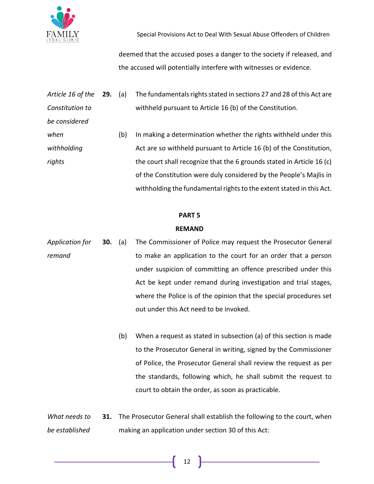

withholding the fundamental rights to the extent stated in this Act.

deemed that the accused poses a danger to the society if released, and the accused will potentially interfere with witnesses or evidence.

| Article 16 of the 29. | (a) | The fundamentals rights stated in sections 27 and 28 of this Act are  |
|-----------------------|-----|-----------------------------------------------------------------------|
| Constitution to       |     | withheld pursuant to Article 16 (b) of the Constitution.              |
| be considered         |     |                                                                       |
| when                  | (b) | In making a determination whether the rights withheld under this      |
| withholding           |     | Act are so withheld pursuant to Article 16 (b) of the Constitution,   |
| rights                |     | the court shall recognize that the 6 grounds stated in Article 16 (c) |
|                       |     | of the Constitution were duly considered by the People's Majlis in    |

# **PART 5**

#### **REMAND**

- *Application for remand* **30.** (a) The Commissioner of Police may request the Prosecutor General to make an application to the court for an order that a person under suspicion of committing an offence prescribed under this Act be kept under remand during investigation and trial stages, where the Police is of the opinion that the special procedures set out under this Act need to be invoked.
	- (b) When a request as stated in subsection (a) of this section is made to the Prosecutor General in writing, signed by the Commissioner of Police, the Prosecutor General shall review the request as per the standards, following which, he shall submit the request to court to obtain the order, as soon as practicable.
- *What needs to be established*  **31.** The Prosecutor General shall establish the following to the court, when making an application under section 30 of this Act: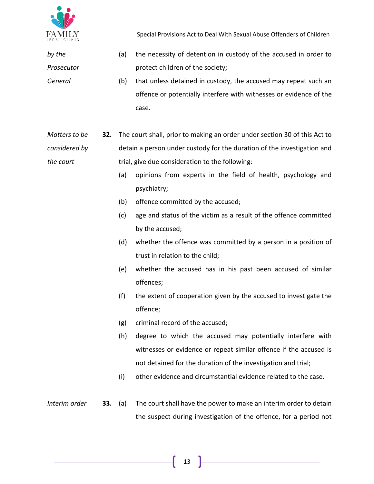

*by the* 

*Prosecutor* 

*General*

Special Provisions Act to Deal With Sexual Abuse Offenders of Children

- (a) the necessity of detention in custody of the accused in order to protect children of the society;
- (b) that unless detained in custody, the accused may repeat such an offence or potentially interfere with witnesses or evidence of the case.
- *Matters to be considered by the court* **32.** The court shall, prior to making an order under section 30 of this Act to detain a person under custody for the duration of the investigation and trial, give due consideration to the following:
	- (a) opinions from experts in the field of health, psychology and psychiatry;
	- (b) offence committed by the accused;
	- (c) age and status of the victim as a result of the offence committed by the accused;
	- (d) whether the offence was committed by a person in a position of trust in relation to the child;
	- (e) whether the accused has in his past been accused of similar offences;
	- (f) the extent of cooperation given by the accused to investigate the offence;
	- (g) criminal record of the accused;
	- (h) degree to which the accused may potentially interfere with witnesses or evidence or repeat similar offence if the accused is not detained for the duration of the investigation and trial;
	- (i) other evidence and circumstantial evidence related to the case.
- *Interim order* **33.** (a) The court shall have the power to make an interim order to detain the suspect during investigation of the offence, for a period not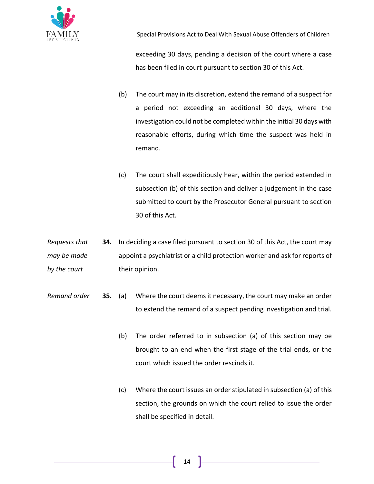

exceeding 30 days, pending a decision of the court where a case has been filed in court pursuant to section 30 of this Act.

- (b) The court may in its discretion, extend the remand of a suspect for a period not exceeding an additional 30 days, where the investigation could not be completed within the initial 30 days with reasonable efforts, during which time the suspect was held in remand.
- (c) The court shall expeditiously hear, within the period extended in subsection (b) of this section and deliver a judgement in the case submitted to court by the Prosecutor General pursuant to section 30 of this Act.

*Requests that may be made by the court* **34.** In deciding a case filed pursuant to section 30 of this Act, the court may appoint a psychiatrist or a child protection worker and ask for reports of their opinion.

- *Remand order* **35.** (a) Where the court deems it necessary, the court may make an order to extend the remand of a suspect pending investigation and trial.
	- (b) The order referred to in subsection (a) of this section may be brought to an end when the first stage of the trial ends, or the court which issued the order rescinds it.
	- (c) Where the court issues an order stipulated in subsection (a) of this section, the grounds on which the court relied to issue the order shall be specified in detail.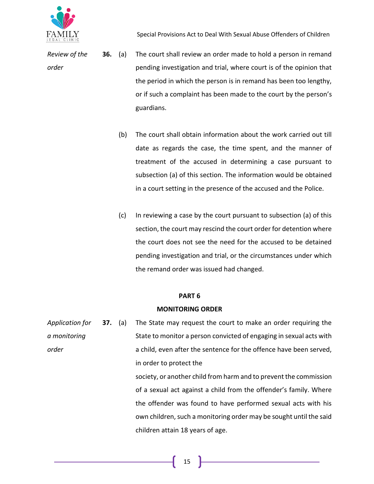

*Review of the order*

- **36.** (a) The court shall review an order made to hold a person in remand pending investigation and trial, where court is of the opinion that the period in which the person is in remand has been too lengthy, or if such a complaint has been made to the court by the person's guardians.
	- (b) The court shall obtain information about the work carried out till date as regards the case, the time spent, and the manner of treatment of the accused in determining a case pursuant to subsection (a) of this section. The information would be obtained in a court setting in the presence of the accused and the Police.
	- (c) In reviewing a case by the court pursuant to subsection (a) of this section, the court may rescind the court order for detention where the court does not see the need for the accused to be detained pending investigation and trial, or the circumstances under which the remand order was issued had changed.

### **PART 6**

### **MONITORING ORDER**

| Application for | <b>37.</b> (a) | The State may request the court to make an order requiring the      |
|-----------------|----------------|---------------------------------------------------------------------|
| a monitoring    |                | State to monitor a person convicted of engaging in sexual acts with |
| order           |                | a child, even after the sentence for the offence have been served,  |
|                 |                | in order to protect the                                             |
|                 |                | society, or another child from harm and to prevent the commission   |
|                 |                | of a sexual act against a child from the offender's family. Where   |
|                 |                | the offender was found to have performed sexual acts with his       |
|                 |                | own children, such a monitoring order may be sought until the said  |
|                 |                | children attain 18 years of age.                                    |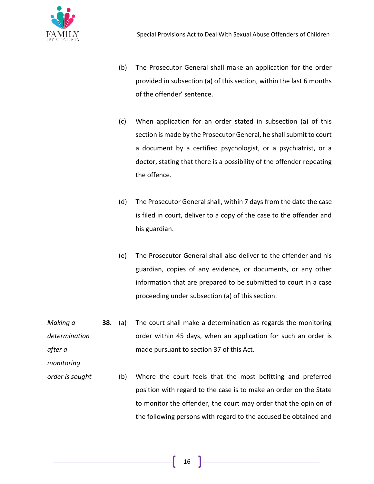

- (b) The Prosecutor General shall make an application for the order provided in subsection (a) of this section, within the last 6 months of the offender' sentence.
- (c) When application for an order stated in subsection (a) of this section is made by the Prosecutor General, he shall submit to court a document by a certified psychologist, or a psychiatrist, or a doctor, stating that there is a possibility of the offender repeating the offence.
- (d) The Prosecutor General shall, within 7 days from the date the case is filed in court, deliver to a copy of the case to the offender and his guardian.
- (e) The Prosecutor General shall also deliver to the offender and his guardian, copies of any evidence, or documents, or any other information that are prepared to be submitted to court in a case proceeding under subsection (a) of this section.
- *Making a determination after a*  **38.** (a) The court shall make a determination as regards the monitoring order within 45 days, when an application for such an order is made pursuant to section 37 of this Act.

*monitoring* 

*order is sought* (b) Where the court feels that the most befitting and preferred position with regard to the case is to make an order on the State to monitor the offender, the court may order that the opinion of the following persons with regard to the accused be obtained and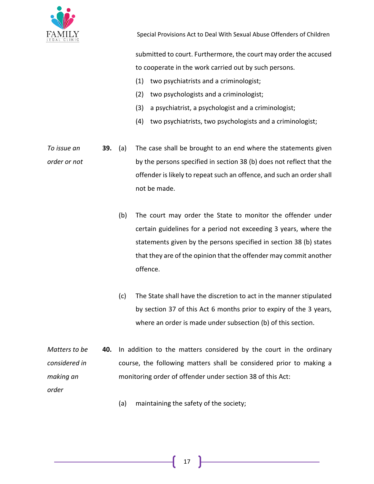

submitted to court. Furthermore, the court may order the accused to cooperate in the work carried out by such persons.

- (1) two psychiatrists and a criminologist;
- (2) two psychologists and a criminologist;
- (3) a psychiatrist, a psychologist and a criminologist;
- (4) two psychiatrists, two psychologists and a criminologist;
- *To issue an order or not* **39.** (a) The case shall be brought to an end where the statements given by the persons specified in section 38 (b) does not reflect that the offender is likely to repeat such an offence, and such an order shall not be made.
	- (b) The court may order the State to monitor the offender under certain guidelines for a period not exceeding 3 years, where the statements given by the persons specified in section 38 (b) states that they are of the opinion that the offender may commit another offence.
	- (c) The State shall have the discretion to act in the manner stipulated by section 37 of this Act 6 months prior to expiry of the 3 years, where an order is made under subsection (b) of this section.
- *Matters to be considered in making an order* **40.** In addition to the matters considered by the court in the ordinary course, the following matters shall be considered prior to making a monitoring order of offender under section 38 of this Act:
	- (a) maintaining the safety of the society;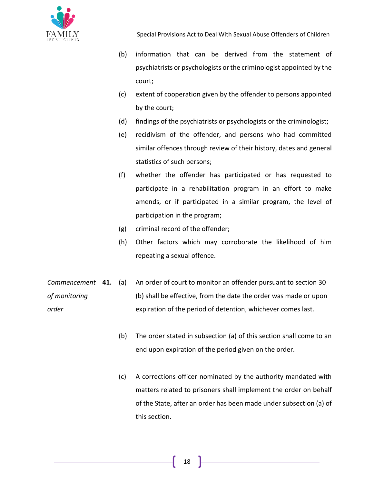

- (b) information that can be derived from the statement of psychiatrists or psychologists or the criminologist appointed by the court;
- (c) extent of cooperation given by the offender to persons appointed by the court;
- (d) findings of the psychiatrists or psychologists or the criminologist;
- (e) recidivism of the offender, and persons who had committed similar offences through review of their history, dates and general statistics of such persons;
- (f) whether the offender has participated or has requested to participate in a rehabilitation program in an effort to make amends, or if participated in a similar program, the level of participation in the program;
- (g) criminal record of the offender;
- (h) Other factors which may corroborate the likelihood of him repeating a sexual offence.
- *Commencement of monitoring order* An order of court to monitor an offender pursuant to section 30 (b) shall be effective, from the date the order was made or upon expiration of the period of detention, whichever comes last.
	- (b) The order stated in subsection (a) of this section shall come to an end upon expiration of the period given on the order.
	- (c) A corrections officer nominated by the authority mandated with matters related to prisoners shall implement the order on behalf of the State, after an order has been made under subsection (a) of this section.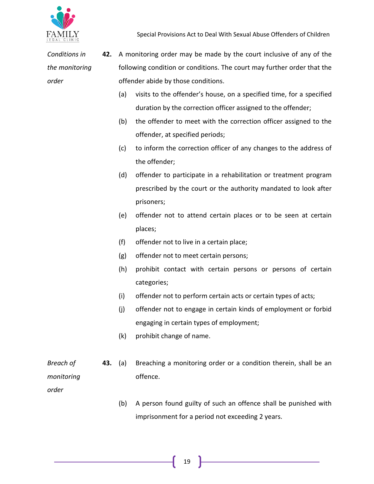

*Conditions in the monitoring order* **42.** A monitoring order may be made by the court inclusive of any of the following condition or conditions. The court may further order that the offender abide by those conditions.

- (a) visits to the offender's house, on a specified time, for a specified duration by the correction officer assigned to the offender;
- (b) the offender to meet with the correction officer assigned to the offender, at specified periods;
- (c) to inform the correction officer of any changes to the address of the offender;
- (d) offender to participate in a rehabilitation or treatment program prescribed by the court or the authority mandated to look after prisoners;
- (e) offender not to attend certain places or to be seen at certain places;
- (f) offender not to live in a certain place;
- (g) offender not to meet certain persons;
- (h) prohibit contact with certain persons or persons of certain categories;
- (i) offender not to perform certain acts or certain types of acts;
- (j) offender not to engage in certain kinds of employment or forbid engaging in certain types of employment;
- (k) prohibit change of name.
- *monitoring*  **43.** (a) Breaching a monitoring order or a condition therein, shall be an offence.

*order*

*Breach of* 

(b) A person found guilty of such an offence shall be punished with imprisonment for a period not exceeding 2 years.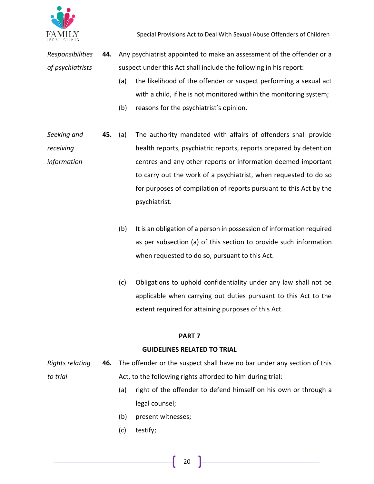

*Responsibilities of psychiatrists* **44.** Any psychiatrist appointed to make an assessment of the offender or a suspect under this Act shall include the following in his report:

- (a) the likelihood of the offender or suspect performing a sexual act with a child, if he is not monitored within the monitoring system;
- (b) reasons for the psychiatrist's opinion.
- *Seeking and receiving information* **45.** (a) The authority mandated with affairs of offenders shall provide health reports, psychiatric reports, reports prepared by detention centres and any other reports or information deemed important to carry out the work of a psychiatrist, when requested to do so for purposes of compilation of reports pursuant to this Act by the psychiatrist.
	- (b) It is an obligation of a person in possession of information required as per subsection (a) of this section to provide such information when requested to do so, pursuant to this Act.
	- (c) Obligations to uphold confidentiality under any law shall not be applicable when carrying out duties pursuant to this Act to the extent required for attaining purposes of this Act.

### **PART 7**

### **GUIDELINES RELATED TO TRIAL**

- *Rights relating to trial* **46.** The offender or the suspect shall have no bar under any section of this Act, to the following rights afforded to him during trial:
	- (a) right of the offender to defend himself on his own or through a legal counsel;
	- (b) present witnesses;
	- (c) testify;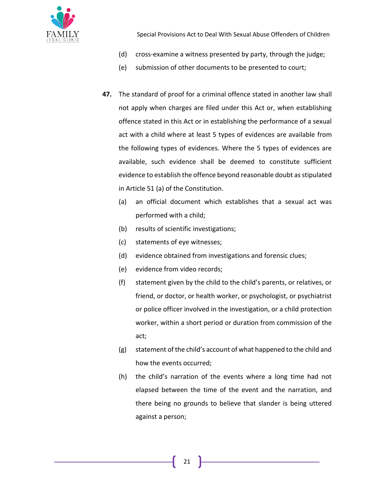

- (d) cross-examine a witness presented by party, through the judge;
- (e) submission of other documents to be presented to court;
- **47.** The standard of proof for a criminal offence stated in another law shall not apply when charges are filed under this Act or, when establishing offence stated in this Act or in establishing the performance of a sexual act with a child where at least 5 types of evidences are available from the following types of evidences. Where the 5 types of evidences are available, such evidence shall be deemed to constitute sufficient evidence to establish the offence beyond reasonable doubt as stipulated in Article 51 (a) of the Constitution.
	- (a) an official document which establishes that a sexual act was performed with a child;
	- (b) results of scientific investigations;
	- (c) statements of eye witnesses;
	- (d) evidence obtained from investigations and forensic clues;
	- (e) evidence from video records;
	- (f) statement given by the child to the child's parents, or relatives, or friend, or doctor, or health worker, or psychologist, or psychiatrist or police officer involved in the investigation, or a child protection worker, within a short period or duration from commission of the act;
	- (g) statement of the child's account of what happened to the child and how the events occurred;
	- (h) the child's narration of the events where a long time had not elapsed between the time of the event and the narration, and there being no grounds to believe that slander is being uttered against a person;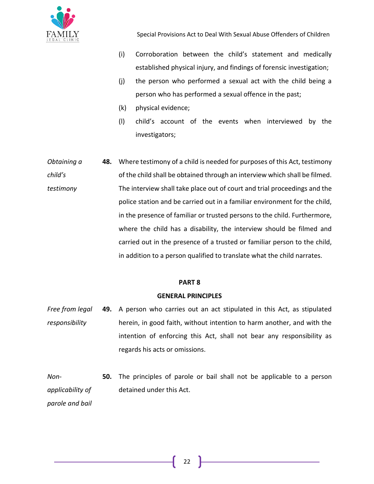

- (i) Corroboration between the child's statement and medically established physical injury, and findings of forensic investigation;
- (j) the person who performed a sexual act with the child being a person who has performed a sexual offence in the past;
- (k) physical evidence;
- (l) child's account of the events when interviewed by the investigators;
- *Obtaining a child's testimony* **48.** Where testimony of a child is needed for purposes of this Act, testimony of the child shall be obtained through an interview which shall be filmed. The interview shall take place out of court and trial proceedings and the police station and be carried out in a familiar environment for the child, in the presence of familiar or trusted persons to the child. Furthermore, where the child has a disability, the interview should be filmed and carried out in the presence of a trusted or familiar person to the child, in addition to a person qualified to translate what the child narrates.

### **PART 8**

### **GENERAL PRINCIPLES**

- *Free from legal responsibility* **49.** A person who carries out an act stipulated in this Act, as stipulated herein, in good faith, without intention to harm another, and with the intention of enforcing this Act, shall not bear any responsibility as regards his acts or omissions.
- *Nonapplicability of parole and bail* **50.** The principles of parole or bail shall not be applicable to a person detained under this Act.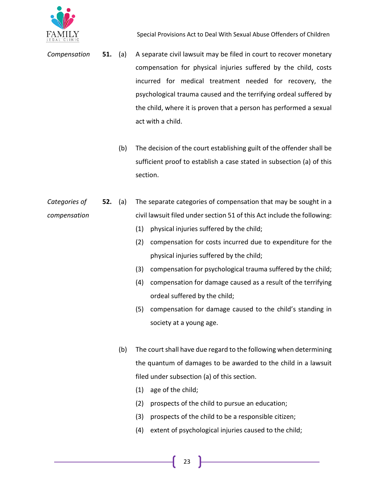

- *Compensation* **51.** (a) A separate civil lawsuit may be filed in court to recover monetary compensation for physical injuries suffered by the child, costs incurred for medical treatment needed for recovery, the psychological trauma caused and the terrifying ordeal suffered by the child, where it is proven that a person has performed a sexual act with a child.
	- (b) The decision of the court establishing guilt of the offender shall be sufficient proof to establish a case stated in subsection (a) of this section.
- *Categories of compensation* **52.** (a) The separate categories of compensation that may be sought in a civil lawsuit filed under section 51 of this Act include the following:
	- (1) physical injuries suffered by the child;
	- (2) compensation for costs incurred due to expenditure for the physical injuries suffered by the child;
	- (3) compensation for psychological trauma suffered by the child;
	- (4) compensation for damage caused as a result of the terrifying ordeal suffered by the child;
	- (5) compensation for damage caused to the child's standing in society at a young age.
	- (b) The court shall have due regard to the following when determining the quantum of damages to be awarded to the child in a lawsuit filed under subsection (a) of this section.
		- (1) age of the child;
		- (2) prospects of the child to pursue an education;
		- (3) prospects of the child to be a responsible citizen;
		- (4) extent of psychological injuries caused to the child;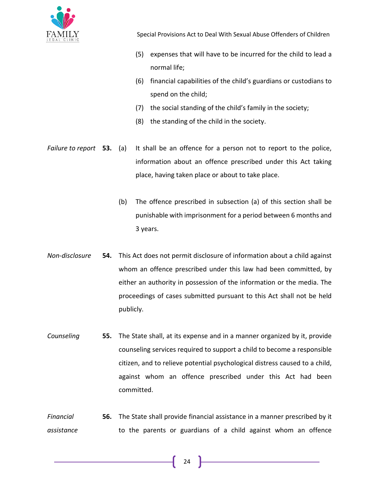

- (5) expenses that will have to be incurred for the child to lead a normal life;
- (6) financial capabilities of the child's guardians or custodians to spend on the child;
- (7) the social standing of the child's family in the society;
- (8) the standing of the child in the society.
- *Failure to report* **53.** (a) It shall be an offence for a person not to report to the police, information about an offence prescribed under this Act taking place, having taken place or about to take place.
	- (b) The offence prescribed in subsection (a) of this section shall be punishable with imprisonment for a period between 6 months and 3 years.
- *Non-disclosure* **54.** This Act does not permit disclosure of information about a child against whom an offence prescribed under this law had been committed, by either an authority in possession of the information or the media. The proceedings of cases submitted pursuant to this Act shall not be held publicly.
- *Counseling* **55.** The State shall, at its expense and in a manner organized by it, provide counseling services required to support a child to become a responsible citizen, and to relieve potential psychological distress caused to a child, against whom an offence prescribed under this Act had been committed.
- *Financial assistance* **56.** The State shall provide financial assistance in a manner prescribed by it to the parents or guardians of a child against whom an offence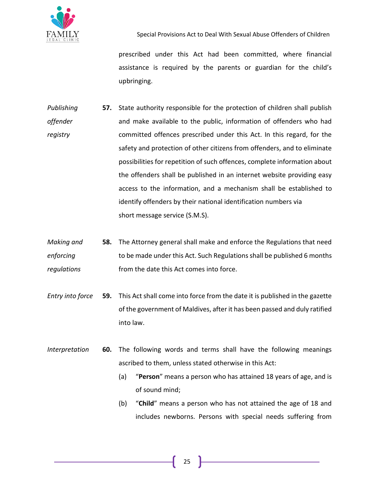

prescribed under this Act had been committed, where financial assistance is required by the parents or guardian for the child's upbringing.

- *Publishing offender registry* **57.** State authority responsible for the protection of children shall publish and make available to the public, information of offenders who had committed offences prescribed under this Act. In this regard, for the safety and protection of other citizens from offenders, and to eliminate possibilities for repetition of such offences, complete information about the offenders shall be published in an internet website providing easy access to the information, and a mechanism shall be established to identify offenders by their national identification numbers via short message service (S.M.S).
- *Making and enforcing regulations* **58.** The Attorney general shall make and enforce the Regulations that need to be made under this Act. Such Regulations shall be published 6 months from the date this Act comes into force.
- *Entry into force* **59.** This Act shall come into force from the date it is published in the gazette of the government of Maldives, after it has been passed and duly ratified into law.
- *Interpretation* **60.** The following words and terms shall have the following meanings ascribed to them, unless stated otherwise in this Act:
	- (a) "**Person**" means a person who has attained 18 years of age, and is of sound mind;
	- (b) "**Child**" means a person who has not attained the age of 18 and includes newborns. Persons with special needs suffering from